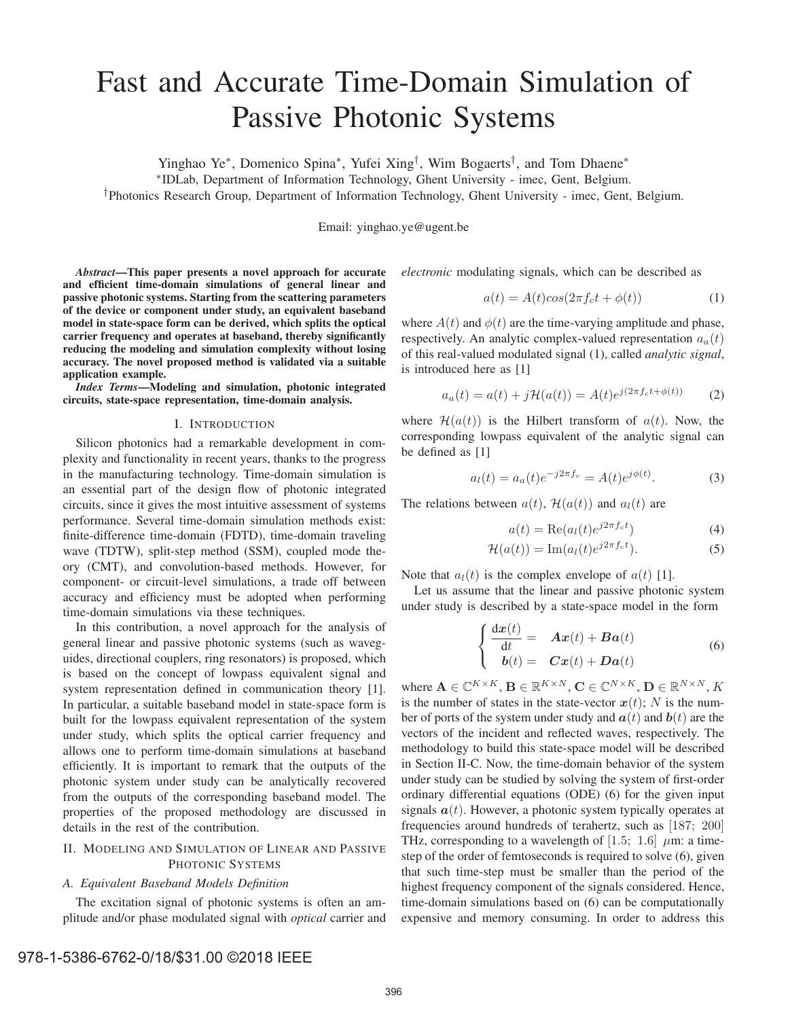# Fast and Accurate Time-Domain Simulation of Passive Photonic Systems

Yinghao Ye∗, Domenico Spina∗, Yufei Xing†, Wim Bogaerts†, and Tom Dhaene∗

∗IDLab, Department of Information Technology, Ghent University - imec, Gent, Belgium.

†Photonics Research Group, Department of Information Technology, Ghent University - imec, Gent, Belgium.

Email: yinghao.ye@ugent.be

*Abstract***—This paper presents a novel approach for accurate and efficient time-domain simulations of general linear and passive photonic systems. Starting from the scattering parameters of the device or component under study, an equivalent baseband model in state-space form can be derived, which splits the optical carrier frequency and operates at baseband, thereby significantly reducing the modeling and simulation complexity without losing accuracy. The novel proposed method is validated via a suitable application example.**

*Index Terms***—Modeling and simulation, photonic integrated circuits, state-space representation, time-domain analysis.**

#### I. INTRODUCTION

Silicon photonics had a remarkable development in complexity and functionality in recent years, thanks to the progress in the manufacturing technology. Time-domain simulation is an essential part of the design flow of photonic integrated circuits, since it gives the most intuitive assessment of systems performance. Several time-domain simulation methods exist: finite-difference time-domain (FDTD), time-domain traveling wave (TDTW), split-step method (SSM), coupled mode theory (CMT), and convolution-based methods. However, for component- or circuit-level simulations, a trade off between accuracy and efficiency must be adopted when performing time-domain simulations via these techniques.

In this contribution, a novel approach for the analysis of general linear and passive photonic systems (such as waveguides, directional couplers, ring resonators) is proposed, which is based on the concept of lowpass equivalent signal and system representation defined in communication theory [1]. In particular, a suitable baseband model in state-space form is built for the lowpass equivalent representation of the system under study, which splits the optical carrier frequency and allows one to perform time-domain simulations at baseband efficiently. It is important to remark that the outputs of the photonic system under study can be analytically recovered from the outputs of the corresponding baseband model. The properties of the proposed methodology are discussed in details in the rest of the contribution.

## II. MODELING AND SIMULATION OF LINEAR AND PASSIVE PHOTONIC SYSTEMS

### *A. Equivalent Baseband Models Definition*

The excitation signal of photonic systems is often an amplitude and/or phase modulated signal with *optical* carrier and *electronic* modulating signals, which can be described as

$$
a(t) = A(t)\cos(2\pi f_c t + \phi(t))\tag{1}
$$

where  $A(t)$  and  $\phi(t)$  are the time-varying amplitude and phase, respectively. An analytic complex-valued representation  $a_n(t)$ of this real-valued modulated signal (1), called *analytic signal*, is introduced here as [1]

$$
a_a(t) = a(t) + j\mathcal{H}(a(t)) = A(t)e^{j(2\pi f_c t + \phi(t))}
$$
 (2)

where  $\mathcal{H}(a(t))$  is the Hilbert transform of  $a(t)$ . Now, the corresponding lowpass equivalent of the analytic signal can be defined as [1]

$$
a_l(t) = a_a(t)e^{-j2\pi f_c} = A(t)e^{j\phi(t)}.
$$
 (3)

The relations between  $a(t)$ ,  $\mathcal{H}(a(t))$  and  $a_l(t)$  are

$$
a(t) = \text{Re}(a_l(t)e^{j2\pi f_c t})
$$
\n(4)

$$
\mathcal{H}(a(t)) = \text{Im}(a_l(t)e^{j2\pi f_c t}).\tag{5}
$$

Note that  $a_l(t)$  is the complex envelope of  $a(t)$  [1].

Let us assume that the linear and passive photonic system under study is described by a state-space model in the form

$$
\begin{cases}\n\frac{\mathrm{d}\boldsymbol{x}(t)}{\mathrm{d}t} = A\boldsymbol{x}(t) + B\boldsymbol{a}(t) \\
b(t) = C\boldsymbol{x}(t) + D\boldsymbol{a}(t)\n\end{cases} (6)
$$

where  $\mathbf{A} \in \mathbb{C}^{K \times K}$ ,  $\mathbf{B} \in \mathbb{R}^{K \times N}$ ,  $\mathbf{C} \in \mathbb{C}^{N \times K}$ ,  $\mathbf{D} \in \mathbb{R}^{N \times N}$ ,  $K$ is the number of states in the state-vector  $x(t)$ ; N is the number of ports of the system under study and  $a(t)$  and  $b(t)$  are the vectors of the incident and reflected waves, respectively. The methodology to build this state-space model will be described in Section II-C. Now, the time-domain behavior of the system under study can be studied by solving the system of first-order ordinary differential equations (ODE) (6) for the given input signals  $a(t)$ . However, a photonic system typically operates at frequencies around hundreds of terahertz, such as [187; 200] THz, corresponding to a wavelength of [1.5; 1.6]  $\mu$ m: a timestep of the order of femtoseconds is required to solve (6), given that such time-step must be smaller than the period of the highest frequency component of the signals considered. Hence, time-domain simulations based on (6) can be computationally expensive and memory consuming. In order to address this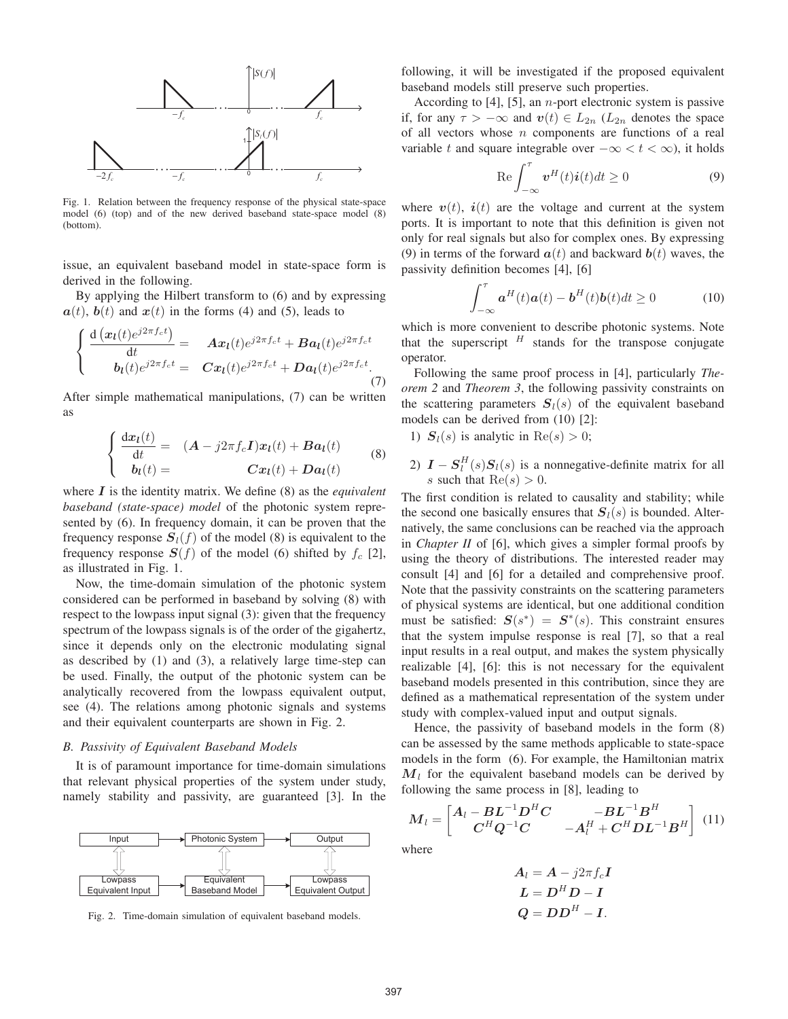

Fig. 1. Relation between the frequency response of the physical state-space model (6) (top) and of the new derived baseband state-space model (8) (bottom).

issue, an equivalent baseband model in state-space form is derived in the following.

By applying the Hilbert transform to (6) and by expressing  $a(t)$ ,  $b(t)$  and  $x(t)$  in the forms (4) and (5), leads to

$$
\begin{cases}\n\frac{\mathrm{d}\left(\boldsymbol{x}_{l}(t)e^{j2\pi f_c t}\right)}{\mathrm{d}t} = \boldsymbol{A}\boldsymbol{x}_{l}(t)e^{j2\pi f_c t} + \boldsymbol{B}\boldsymbol{a}_{l}(t)e^{j2\pi f_c t} \\
\boldsymbol{b}_{l}(t)e^{j2\pi f_c t} = \boldsymbol{C}\boldsymbol{x}_{l}(t)e^{j2\pi f_c t} + \boldsymbol{D}\boldsymbol{a}_{l}(t)e^{j2\pi f_c t}.\n\end{cases} (7)
$$

After simple mathematical manipulations, (7) can be written as

$$
\begin{cases}\n\frac{d\boldsymbol{x}_l(t)}{dt} = (A - j2\pi f_c \boldsymbol{I})\boldsymbol{x}_l(t) + \boldsymbol{B}\boldsymbol{a}_l(t) \\
\boldsymbol{b}_l(t) = C\boldsymbol{x}_l(t) + \boldsymbol{D}\boldsymbol{a}_l(t)\n\end{cases}
$$
\n(8)

where  $\bm{I}$  is the identity matrix. We define (8) as the *equivalent baseband (state-space) model* of the photonic system represented by (6). In frequency domain, it can be proven that the frequency response  $S_l(f)$  of the model (8) is equivalent to the frequency response  $S(f)$  of the model (6) shifted by  $f_c$  [2], as illustrated in Fig. 1.

Now, the time-domain simulation of the photonic system considered can be performed in baseband by solving (8) with respect to the lowpass input signal (3): given that the frequency spectrum of the lowpass signals is of the order of the gigahertz, since it depends only on the electronic modulating signal as described by (1) and (3), a relatively large time-step can be used. Finally, the output of the photonic system can be analytically recovered from the lowpass equivalent output, see (4). The relations among photonic signals and systems and their equivalent counterparts are shown in Fig. 2.

#### *B. Passivity of Equivalent Baseband Models*

It is of paramount importance for time-domain simulations that relevant physical properties of the system under study, namely stability and passivity, are guaranteed [3]. In the



Fig. 2. Time-domain simulation of equivalent baseband models.

following, it will be investigated if the proposed equivalent baseband models still preserve such properties.

According to  $[4]$ ,  $[5]$ , an *n*-port electronic system is passive if, for any  $\tau > -\infty$  and  $v(t) \in L_{2n}$  ( $L_{2n}$  denotes the space of all vectors whose  $n$  components are functions of a real variable t and square integrable over  $-\infty < t < \infty$ ), it holds

$$
\operatorname{Re} \int_{-\infty}^{\tau} \boldsymbol{v}^H(t) \boldsymbol{i}(t) dt \ge 0 \tag{9}
$$

where  $v(t)$ ,  $i(t)$  are the voltage and current at the system ports. It is important to note that this definition is given not only for real signals but also for complex ones. By expressing (9) in terms of the forward  $a(t)$  and backward  $b(t)$  waves, the passivity definition becomes [4], [6]

$$
\int_{-\infty}^{\tau} \mathbf{a}^{H}(t)\mathbf{a}(t) - \mathbf{b}^{H}(t)\mathbf{b}(t)dt \ge 0
$$
 (10)

which is more convenient to describe photonic systems. Note that the superscript  $H$  stands for the transpose conjugate operator.

Following the same proof process in [4], particularly *Theorem 2* and *Theorem 3*, the following passivity constraints on the scattering parameters  $S_l(s)$  of the equivalent baseband models can be derived from (10) [2]:

1)  $S_l(s)$  is analytic in  $Re(s) > 0$ ;

2)  $\mathbf{I} - \mathbf{S}_l^H(s) \mathbf{S}_l(s)$  is a nonnegative-definite matrix for all s such that  $Re(s) > 0$ .

The first condition is related to causality and stability; while the second one basically ensures that  $S_l(s)$  is bounded. Alternatively, the same conclusions can be reached via the approach in *Chapter II* of [6], which gives a simpler formal proofs by using the theory of distributions. The interested reader may consult [4] and [6] for a detailed and comprehensive proof. Note that the passivity constraints on the scattering parameters of physical systems are identical, but one additional condition must be satisfied:  $S(s^*) = S^*(s)$ . This constraint ensures that the system impulse response is real [7], so that a real input results in a real output, and makes the system physically realizable [4], [6]: this is not necessary for the equivalent baseband models presented in this contribution, since they are defined as a mathematical representation of the system under study with complex-valued input and output signals.

Hence, the passivity of baseband models in the form (8) can be assessed by the same methods applicable to state-space models in the form (6). For example, the Hamiltonian matrix  $M_l$  for the equivalent baseband models can be derived by following the same process in [8], leading to

$$
M_{l} = \begin{bmatrix} A_{l} - BL^{-1}D^{H}C & -BL^{-1}B^{H} \\ C^{H}Q^{-1}C & -A_{l}^{H} + C^{H}DL^{-1}B^{H} \end{bmatrix} (11)
$$

where

 $A_l = A - j2\pi f_c I$  $\boldsymbol{L} = \boldsymbol{D}^H \boldsymbol{D} - \boldsymbol{I}$  $\label{eq:Q} \textbf{Q} = \textbf{D}\textbf{D}^H - \textbf{I}.$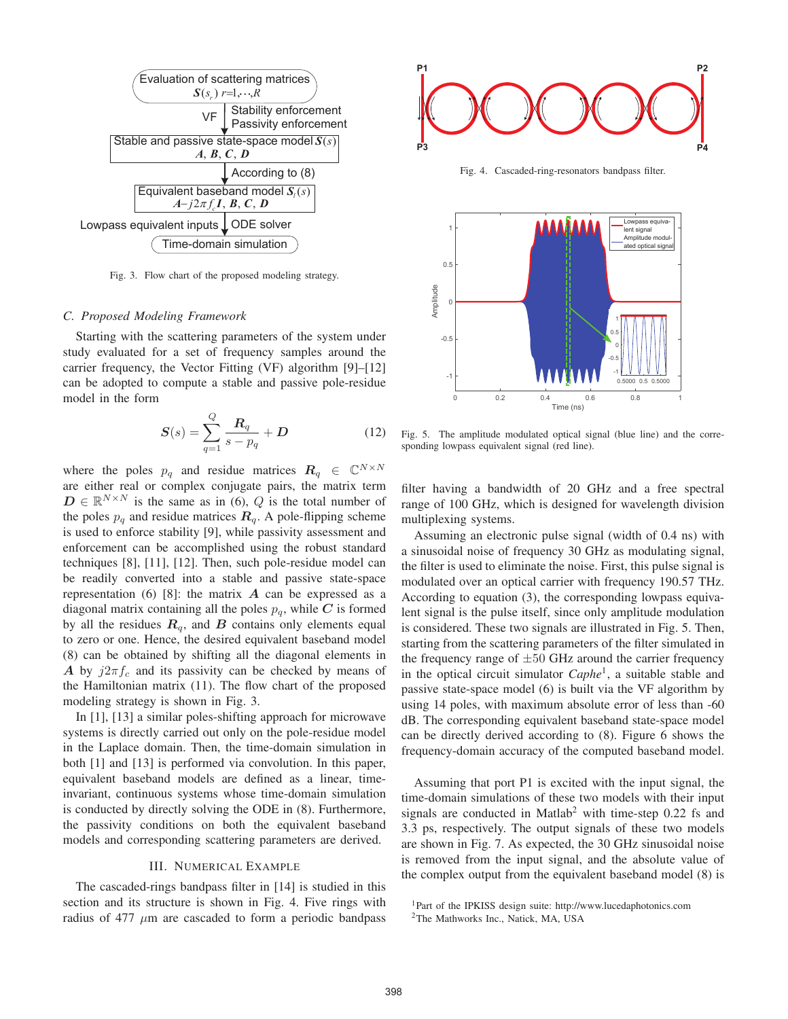

Fig. 3. Flow chart of the proposed modeling strategy.

## *C. Proposed Modeling Framework*

Starting with the scattering parameters of the system under study evaluated for a set of frequency samples around the carrier frequency, the Vector Fitting (VF) algorithm [9]–[12] can be adopted to compute a stable and passive pole-residue model in the form

$$
S(s) = \sum_{q=1}^{Q} \frac{R_q}{s - p_q} + D \tag{12}
$$

where the poles  $p_q$  and residue matrices  $\mathbf{R}_q \in \mathbb{C}^{N \times N}$ are either real or complex conjugate pairs, the matrix term  $D \in \mathbb{R}^{N \times N}$  is the same as in (6), Q is the total number of the poles  $p_q$  and residue matrices  $\mathbf{R}_q$ . A pole-flipping scheme is used to enforce stability [9], while passivity assessment and enforcement can be accomplished using the robust standard techniques [8], [11], [12]. Then, such pole-residue model can be readily converted into a stable and passive state-space representation (6) [8]: the matrix  $\vec{A}$  can be expressed as a diagonal matrix containing all the poles  $p_q$ , while  $C$  is formed by all the residues  $R_q$ , and  $B$  contains only elements equal to zero or one. Hence, the desired equivalent baseband model (8) can be obtained by shifting all the diagonal elements in A by  $i2\pi f_c$  and its passivity can be checked by means of the Hamiltonian matrix (11). The flow chart of the proposed modeling strategy is shown in Fig. 3.

In [1], [13] a similar poles-shifting approach for microwave systems is directly carried out only on the pole-residue model in the Laplace domain. Then, the time-domain simulation in both [1] and [13] is performed via convolution. In this paper, equivalent baseband models are defined as a linear, timeinvariant, continuous systems whose time-domain simulation is conducted by directly solving the ODE in (8). Furthermore, the passivity conditions on both the equivalent baseband models and corresponding scattering parameters are derived.

### III. NUMERICAL EXAMPLE

The cascaded-rings bandpass filter in [14] is studied in this section and its structure is shown in Fig. 4. Five rings with radius of 477  $\mu$ m are cascaded to form a periodic bandpass



Fig. 4. Cascaded-ring-resonators bandpass filter.



Fig. 5. The amplitude modulated optical signal (blue line) and the corresponding lowpass equivalent signal (red line).

filter having a bandwidth of 20 GHz and a free spectral range of 100 GHz, which is designed for wavelength division multiplexing systems.

Assuming an electronic pulse signal (width of 0.4 ns) with a sinusoidal noise of frequency 30 GHz as modulating signal, the filter is used to eliminate the noise. First, this pulse signal is modulated over an optical carrier with frequency 190.57 THz. According to equation (3), the corresponding lowpass equivalent signal is the pulse itself, since only amplitude modulation is considered. These two signals are illustrated in Fig. 5. Then, starting from the scattering parameters of the filter simulated in the frequency range of  $\pm 50$  GHz around the carrier frequency in the optical circuit simulator *Caphe*1, a suitable stable and passive state-space model (6) is built via the VF algorithm by using 14 poles, with maximum absolute error of less than -60 dB. The corresponding equivalent baseband state-space model can be directly derived according to (8). Figure 6 shows the frequency-domain accuracy of the computed baseband model.

Assuming that port P1 is excited with the input signal, the time-domain simulations of these two models with their input signals are conducted in Matlab<sup>2</sup> with time-step  $0.22$  fs and 3.3 ps, respectively. The output signals of these two models are shown in Fig. 7. As expected, the 30 GHz sinusoidal noise is removed from the input signal, and the absolute value of the complex output from the equivalent baseband model (8) is

<sup>1</sup>Part of the IPKISS design suite: http://www.lucedaphotonics.com

<sup>&</sup>lt;sup>2</sup>The Mathworks Inc., Natick, MA, USA